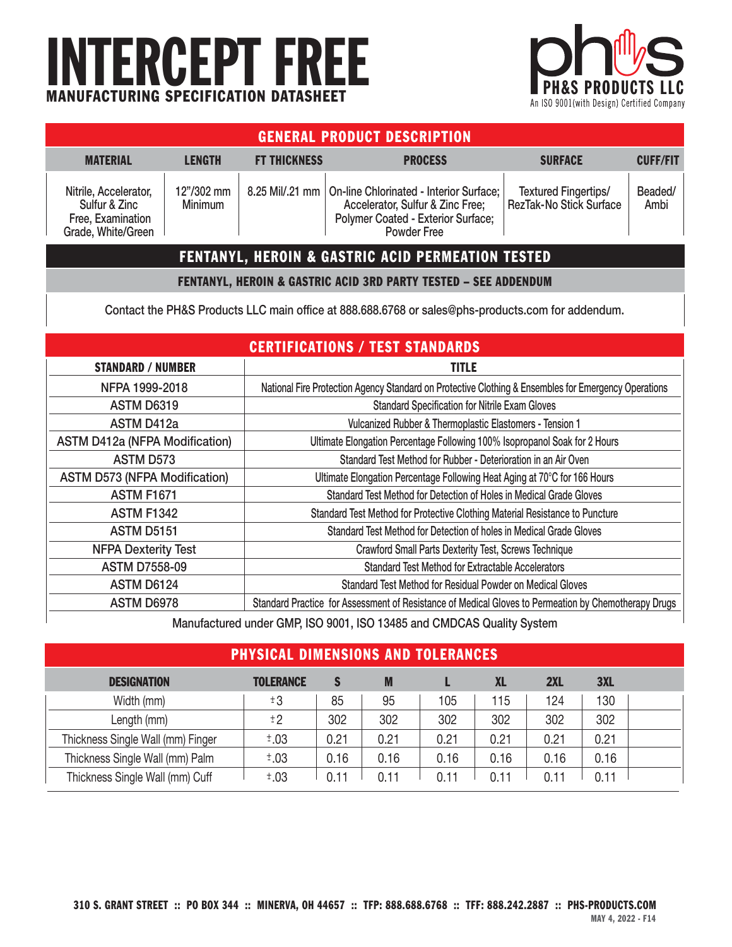# INTERCEPT FREE MANUFACTURING SPECIFICATION DATASHEET



| <b>GENERAL PRODUCT DESCRIPTION</b>                                                |                              |                     |                                                                                                                                                    |                                                 |                 |  |  |  |
|-----------------------------------------------------------------------------------|------------------------------|---------------------|----------------------------------------------------------------------------------------------------------------------------------------------------|-------------------------------------------------|-----------------|--|--|--|
| <b>MATERIAL</b>                                                                   | <b>LENGTH</b>                | <b>FT THICKNESS</b> | <b>PROCESS</b>                                                                                                                                     | <b>SURFACE</b>                                  | <b>CUFF/FIT</b> |  |  |  |
| Nitrile, Accelerator,<br>Sulfur & Zinc<br>Free, Examination<br>Grade, White/Green | 12"/302 mm<br><b>Minimum</b> |                     | 8.25 Mil/.21 mm   On-line Chlorinated - Interior Surface;<br>Accelerator, Sulfur & Zinc Free;<br>Polymer Coated - Exterior Surface;<br>Powder Free | Textured Fingertips/<br>RezTak-No Stick Surface | Beaded/<br>Ambi |  |  |  |
| <b>FENTANYL, HEROIN &amp; GASTRIC ACID PERMEATION TESTED</b>                      |                              |                     |                                                                                                                                                    |                                                 |                 |  |  |  |

#### FENTANYL, HEROIN & GASTRIC ACID 3RD PARTY TESTED – SEE ADDENDUM

Contact the PH&S Products LLC main office at 888.688.6768 or sales@phs-products.com for addendum.

| <b>CERTIFICATIONS / TEST STANDARDS</b>                             |                                                                                                      |  |  |  |  |  |
|--------------------------------------------------------------------|------------------------------------------------------------------------------------------------------|--|--|--|--|--|
| <b>STANDARD / NUMBER</b>                                           | <b>TITLE</b>                                                                                         |  |  |  |  |  |
| NFPA 1999-2018                                                     | National Fire Protection Agency Standard on Protective Clothing & Ensembles for Emergency Operations |  |  |  |  |  |
| <b>ASTM D6319</b>                                                  | <b>Standard Specification for Nitrile Exam Gloves</b>                                                |  |  |  |  |  |
| ASTM D412a                                                         | Vulcanized Rubber & Thermoplastic Elastomers - Tension 1                                             |  |  |  |  |  |
| <b>ASTM D412a (NFPA Modification)</b>                              | Ultimate Elongation Percentage Following 100% Isopropanol Soak for 2 Hours                           |  |  |  |  |  |
| <b>ASTM D573</b>                                                   | Standard Test Method for Rubber - Deterioration in an Air Oven                                       |  |  |  |  |  |
| <b>ASTM D573 (NFPA Modification)</b>                               | Ultimate Elongation Percentage Following Heat Aging at 70°C for 166 Hours                            |  |  |  |  |  |
| <b>ASTM F1671</b>                                                  | Standard Test Method for Detection of Holes in Medical Grade Gloves                                  |  |  |  |  |  |
| <b>ASTM F1342</b>                                                  | Standard Test Method for Protective Clothing Material Resistance to Puncture                         |  |  |  |  |  |
| <b>ASTM D5151</b>                                                  | Standard Test Method for Detection of holes in Medical Grade Gloves                                  |  |  |  |  |  |
| <b>NFPA Dexterity Test</b>                                         | <b>Crawford Small Parts Dexterity Test, Screws Technique</b>                                         |  |  |  |  |  |
| <b>ASTM D7558-09</b>                                               | <b>Standard Test Method for Extractable Accelerators</b>                                             |  |  |  |  |  |
| <b>ASTM D6124</b>                                                  | Standard Test Method for Residual Powder on Medical Gloves                                           |  |  |  |  |  |
| <b>ASTM D6978</b>                                                  | Standard Practice for Assessment of Resistance of Medical Gloves to Permeation by Chemotherapy Drugs |  |  |  |  |  |
| Manufactured under CMD ICO 0004 ICO 4040E and CMDOAC Ought, Custom |                                                                                                      |  |  |  |  |  |

Manufactured under GMP, ISO 9001, ISO 13485 and CMDCAS Quality System

| <b>PHYSICAL DIMENSIONS AND TOLERANCES</b> |                  |      |      |      |           |      |            |  |
|-------------------------------------------|------------------|------|------|------|-----------|------|------------|--|
| <b>DESIGNATION</b>                        | <b>TOLERANCE</b> |      | M    |      | <b>XL</b> | 2XL  | <b>3XL</b> |  |
| Width (mm)                                | ±3               | 85   | 95   | 105  | 115       | 124  | 130        |  |
| Length (mm)                               | $\pm 2$          | 302  | 302  | 302  | 302       | 302  | 302        |  |
| Thickness Single Wall (mm) Finger         | ±.03             | 0.21 | 0.21 | 0.21 | 0.21      | 0.21 | 0.21       |  |
| Thickness Single Wall (mm) Palm           | ±.03             | 0.16 | 0.16 | 0.16 | 0.16      | 0.16 | 0.16       |  |
| Thickness Single Wall (mm) Cuff           | $\pm .03$        | 0.11 | 011  | 0 11 | 0 11      | 011  | 0.11       |  |